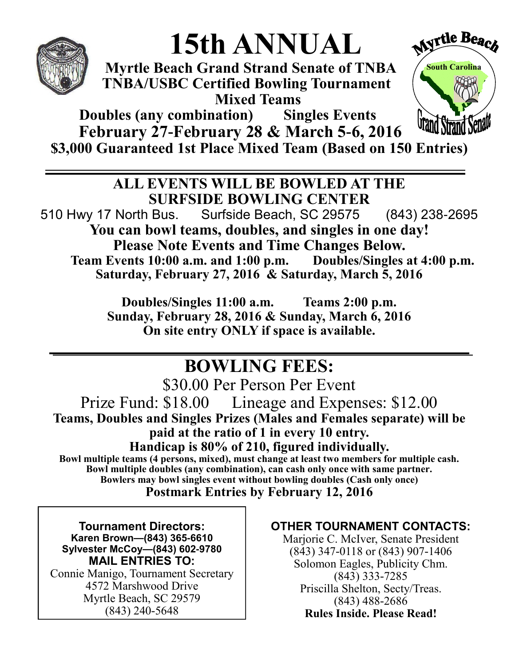

# **15th ANNUAL**

 **Myrtle Beach Grand Strand Senate of TNBA TNBA/USBC Certified Bowling Tournament Mixed Teams**



**Doubles (any combination) Singles Events February 27-February 28 & March 5-6, 2016 \$3,000 Guaranteed 1st Place Mixed Team (Based on 150 Entries)** 

> **ALL EVENTS WILL BE BOWLED AT THE SURFSIDE BOWLING CENTER**

510 Hwy 17 North Bus. Surfside Beach, SC 29575 (843) 238-2695 **You can bowl teams, doubles, and singles in one day! Please Note Events and Time Changes Below.**<br>
Events 10:00 a.m. and 1:00 p.m. Doubles/Singles at 4:00 p.m. **Team Events 10:00 a.m. and 1:00 p.m. Saturday, February 27, 2016 & Saturday, March 5, 2016** 

> **Doubles/Singles 11:00 a.m. Teams 2:00 p.m. Sunday, February 28, 2016 & Sunday, March 6, 2016 On site entry ONLY if space is available.**

## **BOWLING FEES:**

\$30.00 Per Person Per Event Prize Fund: \$18.00 Lineage and Expenses: \$12.00 **Teams, Doubles and Singles Prizes (Males and Females separate) will be paid at the ratio of 1 in every 10 entry. Handicap is 80% of 210, figured individually.**

**Bowl multiple teams (4 persons, mixed), must change at least two members for multiple cash. Bowl multiple doubles (any combination), can cash only once with same partner. Bowlers may bowl singles event without bowling doubles (Cash only once) Postmark Entries by February 12, 2016**

**Tournament Directors: Karen Brown—(843) 365-6610 Sylvester McCoy—(843) 602-9780 MAIL ENTRIES TO:** Connie Manigo, Tournament Secretary 4572 Marshwood Drive Myrtle Beach, SC 29579

(843) 240-5648

#### **OTHER TOURNAMENT CONTACTS:**

Marjorie C. McIver, Senate President (843) 347-0118 or (843) 907-1406 Solomon Eagles, Publicity Chm. (843) 333-7285 Priscilla Shelton, Secty/Treas. (843) 488-2686 **Rules Inside. Please Read!**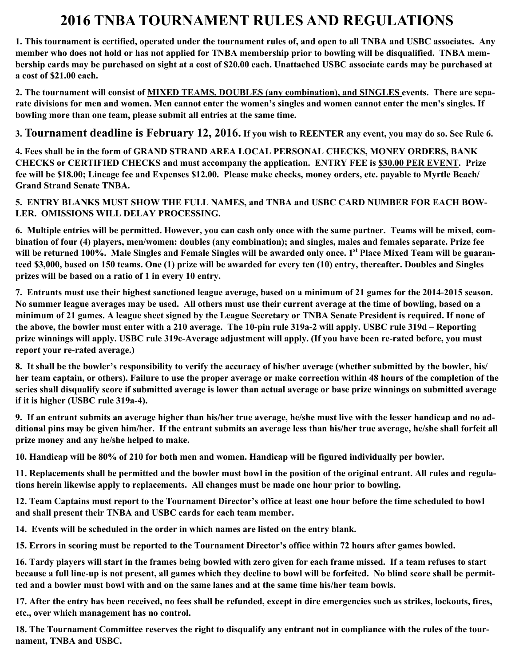### **2016 TNBA TOURNAMENT RULES AND REGULATIONS**

**1. This tournament is certified, operated under the tournament rules of, and open to all TNBA and USBC associates. Any member who does not hold or has not applied for TNBA membership prior to bowling will be disqualified. TNBA membership cards may be purchased on sight at a cost of \$20.00 each. Unattached USBC associate cards may be purchased at a cost of \$21.00 each.**

**2. The tournament will consist of MIXED TEAMS, DOUBLES (any combination), and SINGLES events. There are separate divisions for men and women. Men cannot enter the women's singles and women cannot enter the men's singles. If bowling more than one team, please submit all entries at the same time.**

**3. Tournament deadline is February 12, 2016. If you wish to REENTER any event, you may do so. See Rule 6.** 

**4. Fees shall be in the form of GRAND STRAND AREA LOCAL PERSONAL CHECKS, MONEY ORDERS, BANK CHECKS or CERTIFIED CHECKS and must accompany the application. ENTRY FEE is \$30.00 PER EVENT. Prize fee will be \$18.00; Lineage fee and Expenses \$12.00. Please make checks, money orders, etc. payable to Myrtle Beach/ Grand Strand Senate TNBA.**

**5. ENTRY BLANKS MUST SHOW THE FULL NAMES, and TNBA and USBC CARD NUMBER FOR EACH BOW-LER. OMISSIONS WILL DELAY PROCESSING.**

**6. Multiple entries will be permitted. However, you can cash only once with the same partner. Teams will be mixed, combination of four (4) players, men/women: doubles (any combination); and singles, males and females separate. Prize fee will be returned 100%. Male Singles and Female Singles will be awarded only once. 1st Place Mixed Team will be guaranteed \$3,000, based on 150 teams. One (1) prize will be awarded for every ten (10) entry, thereafter. Doubles and Singles prizes will be based on a ratio of 1 in every 10 entry.**

**7. Entrants must use their highest sanctioned league average, based on a minimum of 21 games for the 2014-2015 season. No summer league averages may be used. All others must use their current average at the time of bowling, based on a minimum of 21 games. A league sheet signed by the League Secretary or TNBA Senate President is required. If none of the above, the bowler must enter with a 210 average. The 10-pin rule 319a-2 will apply. USBC rule 319d – Reporting prize winnings will apply. USBC rule 319c-Average adjustment will apply. (If you have been re-rated before, you must report your re-rated average.)**

**8. It shall be the bowler's responsibility to verify the accuracy of his/her average (whether submitted by the bowler, his/ her team captain, or others). Failure to use the proper average or make correction within 48 hours of the completion of the series shall disqualify score if submitted average is lower than actual average or base prize winnings on submitted average if it is higher (USBC rule 319a-4).** 

**9. If an entrant submits an average higher than his/her true average, he/she must live with the lesser handicap and no additional pins may be given him/her. If the entrant submits an average less than his/her true average, he/she shall forfeit all prize money and any he/she helped to make.**

**10. Handicap will be 80% of 210 for both men and women. Handicap will be figured individually per bowler.**

**11. Replacements shall be permitted and the bowler must bowl in the position of the original entrant. All rules and regulations herein likewise apply to replacements. All changes must be made one hour prior to bowling.**

**12. Team Captains must report to the Tournament Director's office at least one hour before the time scheduled to bowl and shall present their TNBA and USBC cards for each team member.**

**14. Events will be scheduled in the order in which names are listed on the entry blank.**

**15. Errors in scoring must be reported to the Tournament Director's office within 72 hours after games bowled.**

**16. Tardy players will start in the frames being bowled with zero given for each frame missed. If a team refuses to start because a full line-up is not present, all games which they decline to bowl will be forfeited. No blind score shall be permitted and a bowler must bowl with and on the same lanes and at the same time his/her team bowls.**

**17. After the entry has been received, no fees shall be refunded, except in dire emergencies such as strikes, lockouts, fires, etc., over which management has no control.**

**18. The Tournament Committee reserves the right to disqualify any entrant not in compliance with the rules of the tournament, TNBA and USBC.**